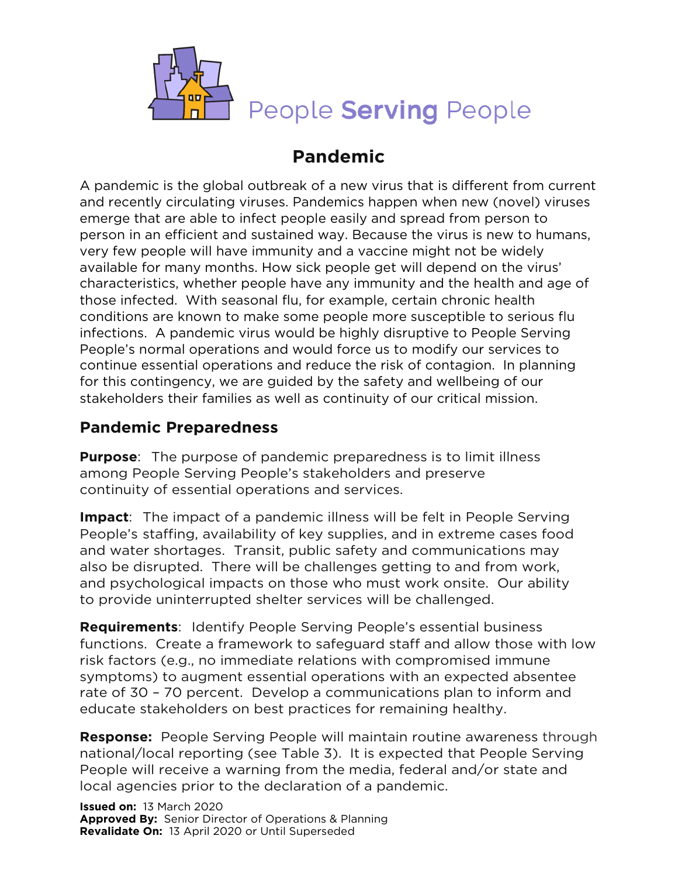

# **Pandemic**

A pandemic is the global outbreak of a new virus that is different from current and recently circulating viruses. Pandemics happen when new (novel) viruses emerge that are able to infect people easily and spread from person to person in an efficient and sustained way. Because the virus is new to humans, very few people will have immunity and a vaccine might not be widely available for many months. How sick people get will depend on the virus' characteristics, whether people have any immunity and the health and age of those infected. With seasonal flu, for example, certain chronic health conditions are known to make some people more susceptible to serious flu infections. A pandemic virus would be highly disruptive to People Serving People's normal operations and would force us to modify our services to continue essential operations and reduce the risk of contagion. In planning for this contingency, we are guided by the safety and wellbeing of our stakeholders their families as well as continuity of our critical mission.

### **Pandemic Preparedness**

**Purpose**: The purpose of pandemic preparedness is to limit illness among People Serving People's stakeholders and preserve continuity of essential operations and services.

**Impact**: The impact of a pandemic illness will be felt in People Serving People's staffing, availability of key supplies, and in extreme cases food and water shortages. Transit, public safety and communications may also be disrupted. There will be challenges getting to and from work, and psychological impacts on those who must work onsite. Our ability to provide uninterrupted shelter services will be challenged.

**Requirements**: Identify People Serving People's essential business functions. Create a framework to safeguard staff and allow those with low risk factors (e.g., no immediate relations with compromised immune symptoms) to augment essential operations with an expected absentee rate of 30 – 70 percent. Develop a communications plan to inform and educate stakeholders on best practices for remaining healthy.

**Response:** People Serving People will maintain routine awareness through national/local reporting (see Table 3). It is expected that People Serving People will receive a warning from the media, federal and/or state and local agencies prior to the declaration of a pandemic.

**Issued on:** 13 March 2020 **Approved By:** Senior Director of Operations & Planning **Revalidate On:** 13 April 2020 or Until Superseded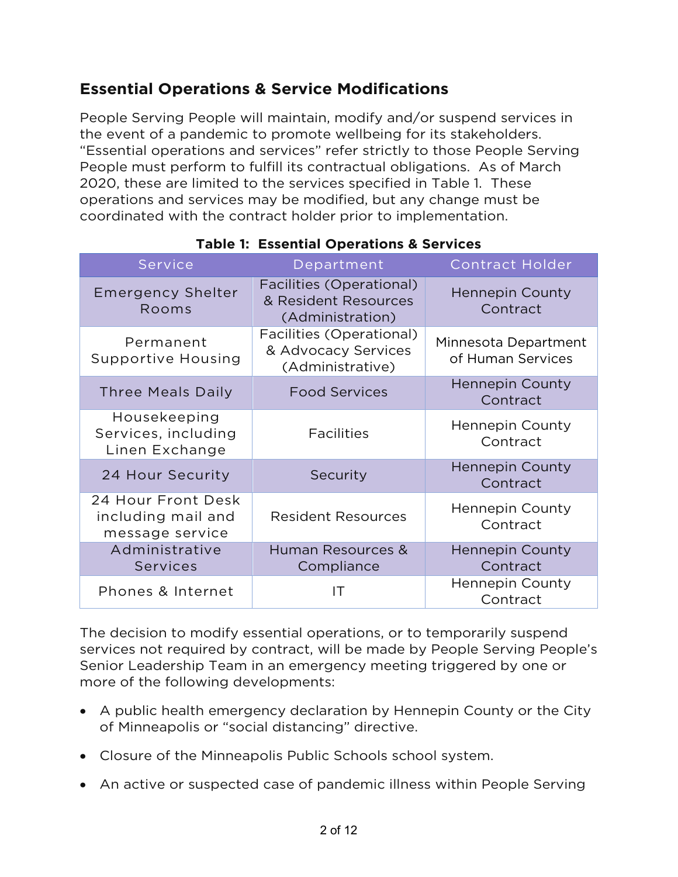## **Essential Operations & Service Modifications**

People Serving People will maintain, modify and/or suspend services in the event of a pandemic to promote wellbeing for its stakeholders. "Essential operations and services" refer strictly to those People Serving People must perform to fulfill its contractual obligations. As of March 2020, these are limited to the services specified in Table 1. These operations and services may be modified, but any change must be coordinated with the contract holder prior to implementation.

| <b>Service</b>                                              | Department                                                           | <b>Contract Holder</b>                    |
|-------------------------------------------------------------|----------------------------------------------------------------------|-------------------------------------------|
| <b>Emergency Shelter</b><br>Rooms                           | Facilities (Operational)<br>& Resident Resources<br>(Administration) | <b>Hennepin County</b><br>Contract        |
| Permanent<br><b>Supportive Housing</b>                      | Facilities (Operational)<br>& Advocacy Services<br>(Administrative)  | Minnesota Department<br>of Human Services |
| <b>Three Meals Daily</b>                                    | <b>Food Services</b>                                                 | <b>Hennepin County</b><br>Contract        |
| Housekeeping<br>Services, including<br>Linen Exchange       | <b>Facilities</b>                                                    | Hennepin County<br>Contract               |
| 24 Hour Security                                            | Security                                                             | <b>Hennepin County</b><br>Contract        |
| 24 Hour Front Desk<br>including mail and<br>message service | <b>Resident Resources</b>                                            | <b>Hennepin County</b><br>Contract        |
| Administrative<br><b>Services</b>                           | Human Resources &<br>Compliance                                      | <b>Hennepin County</b><br>Contract        |
| Phones & Internet                                           | IT                                                                   | <b>Hennepin County</b><br>Contract        |

### **Table 1: Essential Operations & Services**

The decision to modify essential operations, or to temporarily suspend services not required by contract, will be made by People Serving People's Senior Leadership Team in an emergency meeting triggered by one or more of the following developments:

- A public health emergency declaration by Hennepin County or the City of Minneapolis or "social distancing" directive.
- Closure of the Minneapolis Public Schools school system.
- An active or suspected case of pandemic illness within People Serving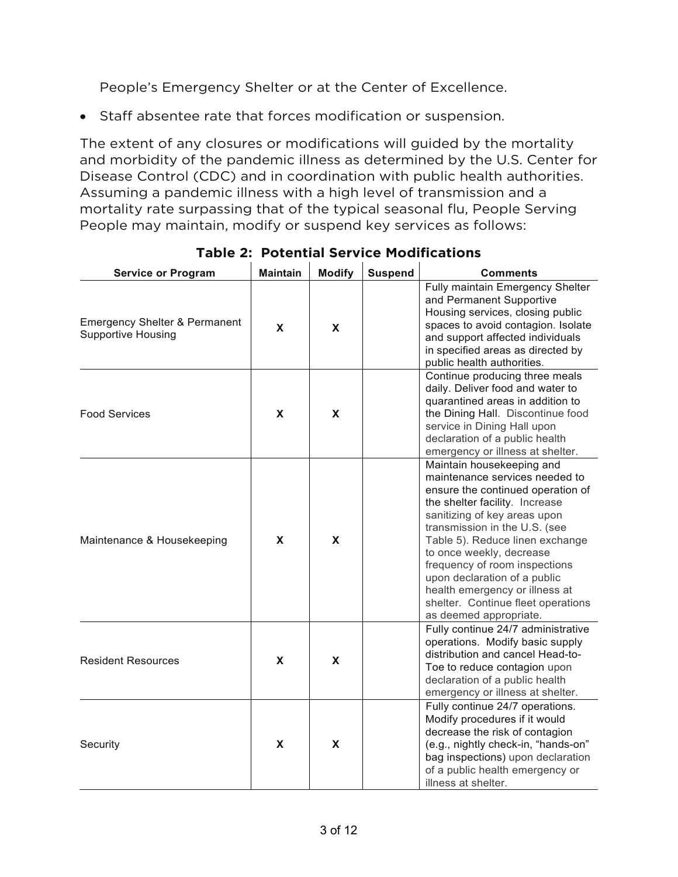People's Emergency Shelter or at the Center of Excellence.

• Staff absentee rate that forces modification or suspension.

The extent of any closures or modifications will guided by the mortality and morbidity of the pandemic illness as determined by the U.S. Center for Disease Control (CDC) and in coordination with public health authorities. Assuming a pandemic illness with a high level of transmission and a mortality rate surpassing that of the typical seasonal flu, People Serving People may maintain, modify or suspend key services as follows:

| <b>Service or Program</b>                                             | <b>Maintain</b> | <b>Modify</b> | <b>Suspend</b> | <b>Comments</b>                                                                                                                                                                                                                                                                                                                                                                                                                       |
|-----------------------------------------------------------------------|-----------------|---------------|----------------|---------------------------------------------------------------------------------------------------------------------------------------------------------------------------------------------------------------------------------------------------------------------------------------------------------------------------------------------------------------------------------------------------------------------------------------|
| <b>Emergency Shelter &amp; Permanent</b><br><b>Supportive Housing</b> | <b>X</b>        | X             |                | Fully maintain Emergency Shelter<br>and Permanent Supportive<br>Housing services, closing public<br>spaces to avoid contagion. Isolate<br>and support affected individuals<br>in specified areas as directed by<br>public health authorities.                                                                                                                                                                                         |
| <b>Food Services</b>                                                  | <b>X</b>        | <b>X</b>      |                | Continue producing three meals<br>daily. Deliver food and water to<br>quarantined areas in addition to<br>the Dining Hall. Discontinue food<br>service in Dining Hall upon<br>declaration of a public health<br>emergency or illness at shelter.                                                                                                                                                                                      |
| Maintenance & Housekeeping                                            | X               | X             |                | Maintain housekeeping and<br>maintenance services needed to<br>ensure the continued operation of<br>the shelter facility. Increase<br>sanitizing of key areas upon<br>transmission in the U.S. (see<br>Table 5). Reduce linen exchange<br>to once weekly, decrease<br>frequency of room inspections<br>upon declaration of a public<br>health emergency or illness at<br>shelter. Continue fleet operations<br>as deemed appropriate. |
| <b>Resident Resources</b>                                             | X               | X             |                | Fully continue 24/7 administrative<br>operations. Modify basic supply<br>distribution and cancel Head-to-<br>Toe to reduce contagion upon<br>declaration of a public health<br>emergency or illness at shelter.                                                                                                                                                                                                                       |
| Security                                                              | X               | X             |                | Fully continue 24/7 operations.<br>Modify procedures if it would<br>decrease the risk of contagion<br>(e.g., nightly check-in, "hands-on"<br>bag inspections) upon declaration<br>of a public health emergency or<br>illness at shelter.                                                                                                                                                                                              |

**Table 2: Potential Service Modifications**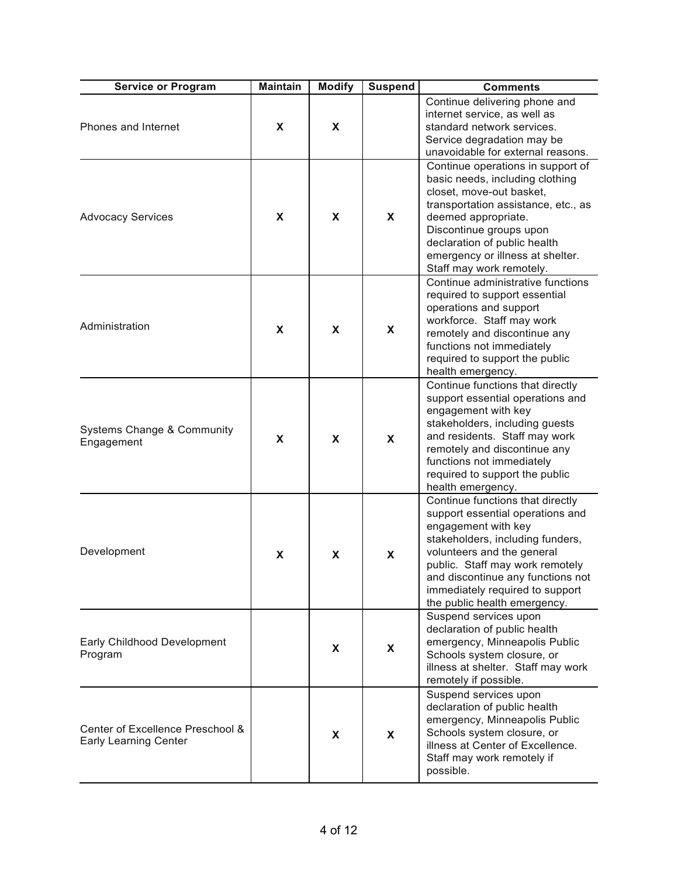| <b>Service or Program</b>                                        | <b>Maintain</b> | <b>Modify</b> | <b>Suspend</b>            | <b>Comments</b>                                                                                                                                                                                                                                                                                          |
|------------------------------------------------------------------|-----------------|---------------|---------------------------|----------------------------------------------------------------------------------------------------------------------------------------------------------------------------------------------------------------------------------------------------------------------------------------------------------|
| Phones and Internet                                              | X               | X             |                           | Continue delivering phone and<br>internet service, as well as<br>standard network services.<br>Service degradation may be<br>unavoidable for external reasons.                                                                                                                                           |
| <b>Advocacy Services</b>                                         | X               | X             | $\boldsymbol{\mathsf{X}}$ | Continue operations in support of<br>basic needs, including clothing<br>closet, move-out basket,<br>transportation assistance, etc., as<br>deemed appropriate.<br>Discontinue groups upon<br>declaration of public health<br>emergency or illness at shelter.<br>Staff may work remotely.                |
| Administration                                                   | X               | X             | X                         | Continue administrative functions<br>required to support essential<br>operations and support<br>workforce. Staff may work<br>remotely and discontinue any<br>functions not immediately<br>required to support the public<br>health emergency.                                                            |
| Systems Change & Community<br>Engagement                         | X               | X             | X                         | Continue functions that directly<br>support essential operations and<br>engagement with key<br>stakeholders, including guests<br>and residents. Staff may work<br>remotely and discontinue any<br>functions not immediately<br>required to support the public<br>health emergency.                       |
| Development                                                      | X               | X             | X                         | Continue functions that directly<br>support essential operations and<br>engagement with key<br>stakeholders, including funders,<br>volunteers and the general<br>public. Staff may work remotely<br>and discontinue any functions not<br>immediately required to support<br>the public health emergency. |
| Early Childhood Development<br>Program                           |                 | X             | X                         | Suspend services upon<br>declaration of public health<br>emergency, Minneapolis Public<br>Schools system closure, or<br>illness at shelter. Staff may work<br>remotely if possible.                                                                                                                      |
| Center of Excellence Preschool &<br><b>Early Learning Center</b> |                 | X             | X                         | Suspend services upon<br>declaration of public health<br>emergency, Minneapolis Public<br>Schools system closure, or<br>illness at Center of Excellence.<br>Staff may work remotely if<br>possible.                                                                                                      |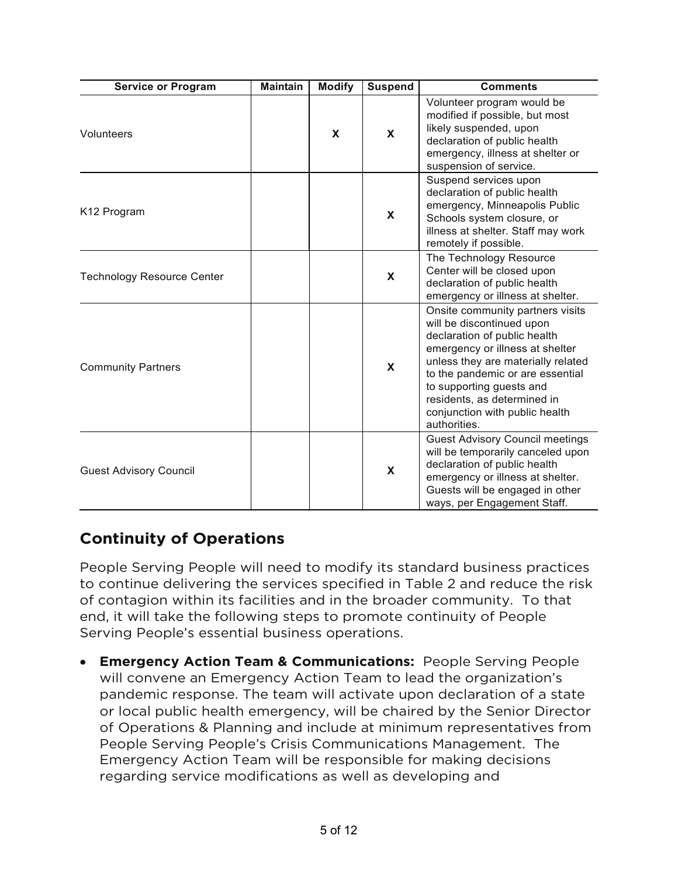| <b>Service or Program</b>         | <b>Maintain</b> | <b>Modify</b> | <b>Suspend</b> | <b>Comments</b>                                                                                                                                                                                                                                                                                                         |
|-----------------------------------|-----------------|---------------|----------------|-------------------------------------------------------------------------------------------------------------------------------------------------------------------------------------------------------------------------------------------------------------------------------------------------------------------------|
| Volunteers                        |                 | X             | X              | Volunteer program would be<br>modified if possible, but most<br>likely suspended, upon<br>declaration of public health<br>emergency, illness at shelter or<br>suspension of service.                                                                                                                                    |
| K <sub>12</sub> Program           |                 |               | $\mathbf{x}$   | Suspend services upon<br>declaration of public health<br>emergency, Minneapolis Public<br>Schools system closure, or<br>illness at shelter. Staff may work<br>remotely if possible.                                                                                                                                     |
| <b>Technology Resource Center</b> |                 |               | X              | The Technology Resource<br>Center will be closed upon<br>declaration of public health<br>emergency or illness at shelter.                                                                                                                                                                                               |
| <b>Community Partners</b>         |                 |               | $\mathbf{x}$   | Onsite community partners visits<br>will be discontinued upon<br>declaration of public health<br>emergency or illness at shelter<br>unless they are materially related<br>to the pandemic or are essential<br>to supporting guests and<br>residents, as determined in<br>conjunction with public health<br>authorities. |
| <b>Guest Advisory Council</b>     |                 |               | X              | <b>Guest Advisory Council meetings</b><br>will be temporarily canceled upon<br>declaration of public health<br>emergency or illness at shelter.<br>Guests will be engaged in other<br>ways, per Engagement Staff.                                                                                                       |

### **Continuity of Operations**

People Serving People will need to modify its standard business practices to continue delivering the services specified in Table 2 and reduce the risk of contagion within its facilities and in the broader community. To that end, it will take the following steps to promote continuity of People Serving People's essential business operations.

• **Emergency Action Team & Communications:** People Serving People will convene an Emergency Action Team to lead the organization's pandemic response. The team will activate upon declaration of a state or local public health emergency, will be chaired by the Senior Director of Operations & Planning and include at minimum representatives from People Serving People's Crisis Communications Management. The Emergency Action Team will be responsible for making decisions regarding service modifications as well as developing and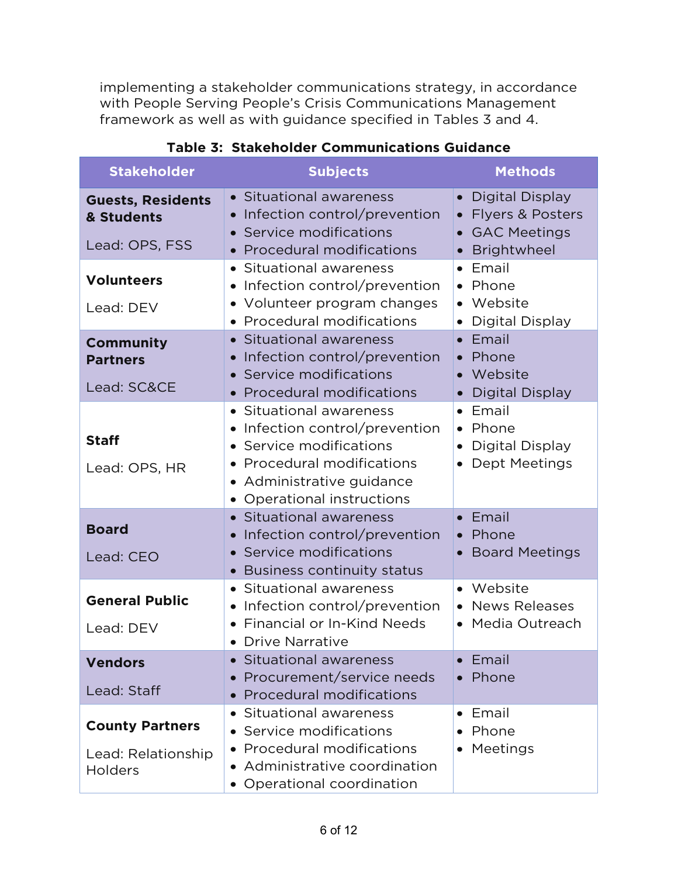implementing a stakeholder communications strategy, in accordance with People Serving People's Crisis Communications Management framework as well as with guidance specified in Tables 3 and 4.

| <b>Stakeholder</b>                                       | <b>Subjects</b>                                                                                                                                                         | <b>Methods</b>                                                                                                                      |
|----------------------------------------------------------|-------------------------------------------------------------------------------------------------------------------------------------------------------------------------|-------------------------------------------------------------------------------------------------------------------------------------|
| <b>Guests, Residents</b><br>& Students<br>Lead: OPS, FSS | • Situational awareness<br>Infection control/prevention<br>Service modifications<br>$\bullet$                                                                           | Digital Display<br>$\bullet$<br>Flyers & Posters<br>$\bullet$<br><b>GAC Meetings</b><br>$\bullet$                                   |
|                                                          | • Procedural modifications                                                                                                                                              | Brightwheel<br>$\bullet$                                                                                                            |
| <b>Volunteers</b><br>Lead: DEV                           | Situational awareness<br>Infection control/prevention<br>• Volunteer program changes<br>• Procedural modifications                                                      | Email<br>$\bullet$<br>• Phone<br>• Website                                                                                          |
| <b>Community</b><br><b>Partners</b><br>Lead: SC&CE       | • Situational awareness<br>Infection control/prevention<br>Service modifications<br><b>Procedural modifications</b>                                                     | <b>Digital Display</b><br>$\bullet$<br>Email<br>$\bullet$<br>• Phone<br>Website<br>$\bullet$                                        |
| <b>Staff</b><br>Lead: OPS, HR                            | • Situational awareness<br>Infection control/prevention<br>Service modifications<br>• Procedural modifications<br>Administrative guidance<br>• Operational instructions | <b>Digital Display</b><br>• Email<br>Phone<br>$\bullet$<br><b>Digital Display</b><br>$\bullet$<br><b>Dept Meetings</b><br>$\bullet$ |
| <b>Board</b><br>Lead: CEO                                | Situational awareness<br>$\bullet$<br>Infection control/prevention<br>Service modifications<br><b>Business continuity status</b>                                        | • Email<br>Phone<br>$\bullet$<br><b>Board Meetings</b><br>$\bullet$                                                                 |
| <b>General Public</b><br>Lead: DEV                       | Situational awareness<br>Infection control/prevention<br>Financial or In-Kind Needs<br>$\bullet$                                                                        | • Website<br>• News Releases<br>Media Outreach<br>$\bullet$                                                                         |
| <b>Vendors</b><br>Lead: Staff                            | <b>Drive Narrative</b><br><b>Situational awareness</b><br>Procurement/service needs<br>$\bullet$<br><b>Procedural modifications</b>                                     | Email<br>Phone<br>$\bullet$                                                                                                         |
| <b>County Partners</b><br>Lead: Relationship<br>Holders  | Situational awareness<br>• Service modifications<br>• Procedural modifications<br>Administrative coordination<br>• Operational coordination                             | Email<br>Phone<br>Meetings<br>$\bullet$                                                                                             |

### **Table 3: Stakeholder Communications Guidance**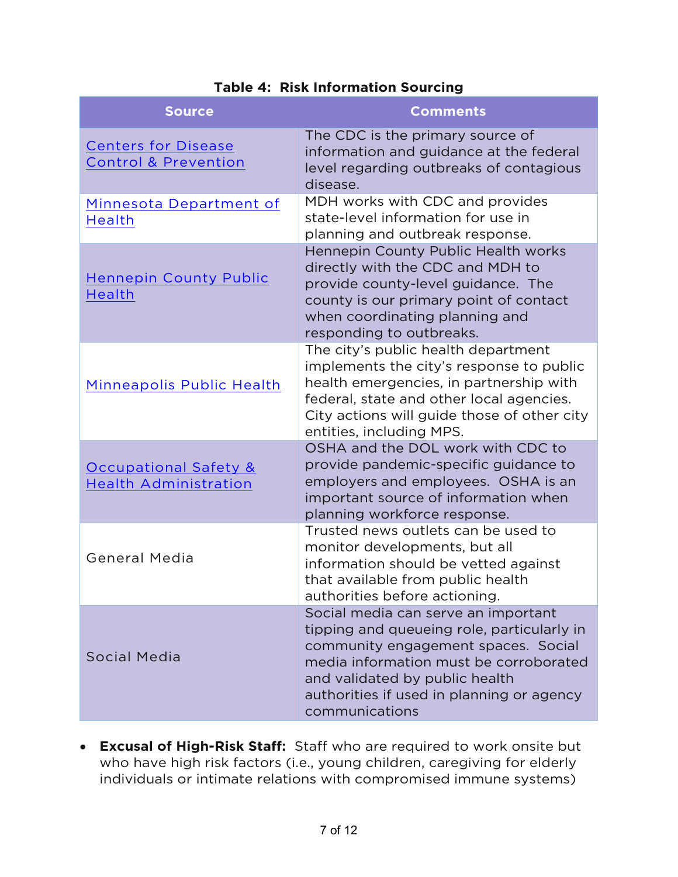| <b>Source</b>                                                    | <b>Comments</b>                                                                                                                                                                                                                                                     |
|------------------------------------------------------------------|---------------------------------------------------------------------------------------------------------------------------------------------------------------------------------------------------------------------------------------------------------------------|
| <b>Centers for Disease</b><br><b>Control &amp; Prevention</b>    | The CDC is the primary source of<br>information and guidance at the federal<br>level regarding outbreaks of contagious<br>disease.                                                                                                                                  |
| Minnesota Department of<br>Health                                | MDH works with CDC and provides<br>state-level information for use in<br>planning and outbreak response.                                                                                                                                                            |
| <b>Hennepin County Public</b><br>Health                          | Hennepin County Public Health works<br>directly with the CDC and MDH to<br>provide county-level guidance. The<br>county is our primary point of contact<br>when coordinating planning and<br>responding to outbreaks.                                               |
| Minneapolis Public Health                                        | The city's public health department<br>implements the city's response to public<br>health emergencies, in partnership with<br>federal, state and other local agencies.<br>City actions will guide those of other city<br>entities, including MPS.                   |
| <b>Occupational Safety &amp;</b><br><b>Health Administration</b> | OSHA and the DOL work with CDC to<br>provide pandemic-specific guidance to<br>employers and employees. OSHA is an<br>important source of information when<br>planning workforce response.                                                                           |
| <b>General Media</b>                                             | Trusted news outlets can be used to<br>monitor developments, but all<br>information should be vetted against<br>that available from public health<br>authorities before actioning.                                                                                  |
| Social Media                                                     | Social media can serve an important<br>tipping and queueing role, particularly in<br>community engagement spaces. Social<br>media information must be corroborated<br>and validated by public health<br>authorities if used in planning or agency<br>communications |

#### **Table 4: Risk Information Sourcing**

• **Excusal of High-Risk Staff:** Staff who are required to work onsite but who have high risk factors (i.e., young children, caregiving for elderly individuals or intimate relations with compromised immune systems)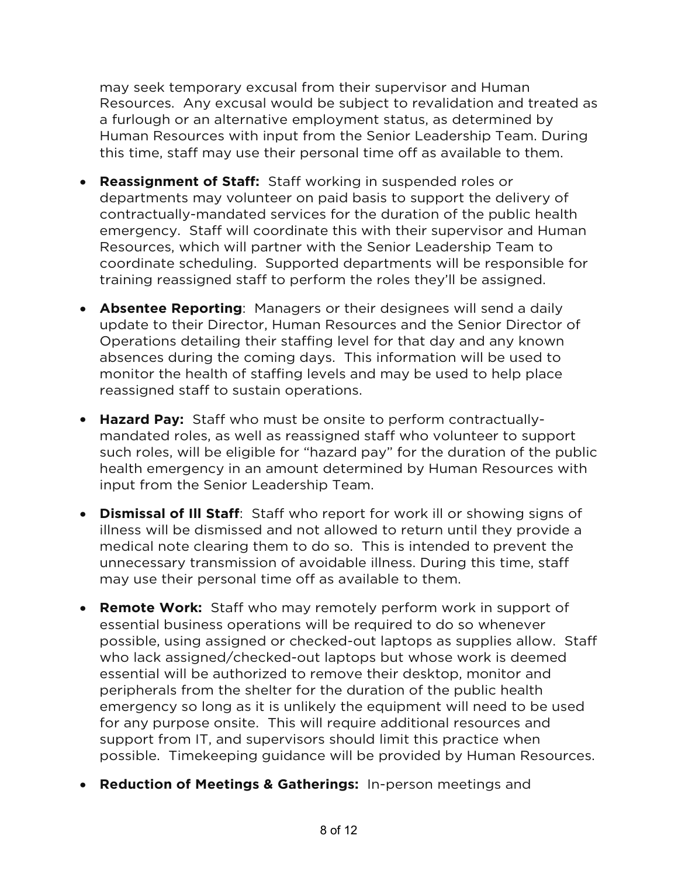may seek temporary excusal from their supervisor and Human Resources. Any excusal would be subject to revalidation and treated as a furlough or an alternative employment status, as determined by Human Resources with input from the Senior Leadership Team. During this time, staff may use their personal time off as available to them.

- **Reassignment of Staff:** Staff working in suspended roles or departments may volunteer on paid basis to support the delivery of contractually-mandated services for the duration of the public health emergency. Staff will coordinate this with their supervisor and Human Resources, which will partner with the Senior Leadership Team to coordinate scheduling. Supported departments will be responsible for training reassigned staff to perform the roles they'll be assigned.
- **Absentee Reporting**: Managers or their designees will send a daily update to their Director, Human Resources and the Senior Director of Operations detailing their staffing level for that day and any known absences during the coming days. This information will be used to monitor the health of staffing levels and may be used to help place reassigned staff to sustain operations.
- **Hazard Pay:** Staff who must be onsite to perform contractuallymandated roles, as well as reassigned staff who volunteer to support such roles, will be eligible for "hazard pay" for the duration of the public health emergency in an amount determined by Human Resources with input from the Senior Leadership Team.
- **Dismissal of Ill Staff**: Staff who report for work ill or showing signs of illness will be dismissed and not allowed to return until they provide a medical note clearing them to do so. This is intended to prevent the unnecessary transmission of avoidable illness. During this time, staff may use their personal time off as available to them.
- **Remote Work:** Staff who may remotely perform work in support of essential business operations will be required to do so whenever possible, using assigned or checked-out laptops as supplies allow. Staff who lack assigned/checked-out laptops but whose work is deemed essential will be authorized to remove their desktop, monitor and peripherals from the shelter for the duration of the public health emergency so long as it is unlikely the equipment will need to be used for any purpose onsite. This will require additional resources and support from IT, and supervisors should limit this practice when possible. Timekeeping guidance will be provided by Human Resources.
- **Reduction of Meetings & Gatherings:** In-person meetings and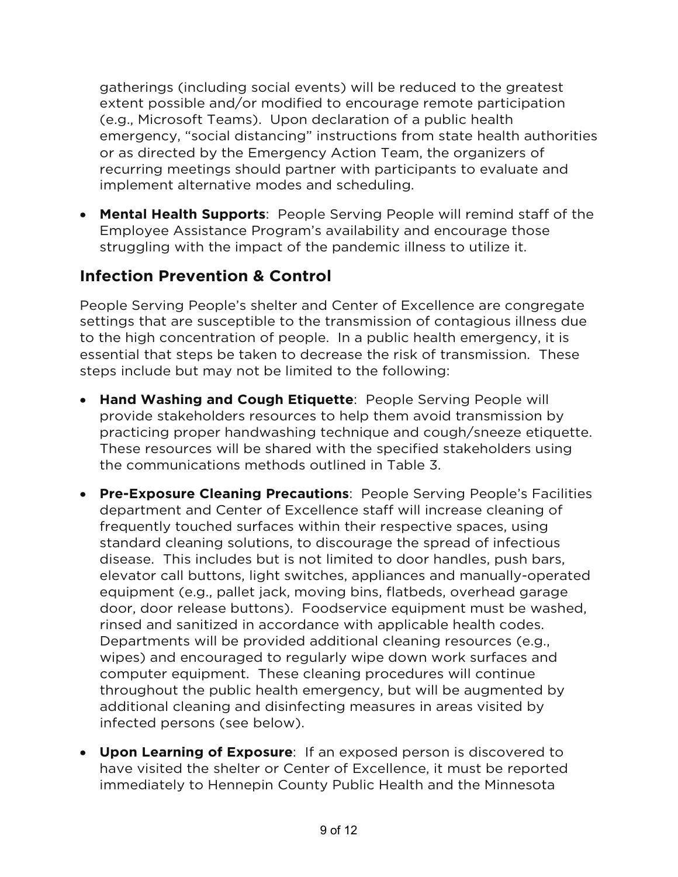gatherings (including social events) will be reduced to the greatest extent possible and/or modified to encourage remote participation (e.g., Microsoft Teams). Upon declaration of a public health emergency, "social distancing" instructions from state health authorities or as directed by the Emergency Action Team, the organizers of recurring meetings should partner with participants to evaluate and implement alternative modes and scheduling.

• **Mental Health Supports**: People Serving People will remind staff of the Employee Assistance Program's availability and encourage those struggling with the impact of the pandemic illness to utilize it.

## **Infection Prevention & Control**

People Serving People's shelter and Center of Excellence are congregate settings that are susceptible to the transmission of contagious illness due to the high concentration of people. In a public health emergency, it is essential that steps be taken to decrease the risk of transmission. These steps include but may not be limited to the following:

- **Hand Washing and Cough Etiquette**: People Serving People will provide stakeholders resources to help them avoid transmission by practicing proper handwashing technique and cough/sneeze etiquette. These resources will be shared with the specified stakeholders using the communications methods outlined in Table 3.
- **Pre-Exposure Cleaning Precautions**: People Serving People's Facilities department and Center of Excellence staff will increase cleaning of frequently touched surfaces within their respective spaces, using standard cleaning solutions, to discourage the spread of infectious disease. This includes but is not limited to door handles, push bars, elevator call buttons, light switches, appliances and manually-operated equipment (e.g., pallet jack, moving bins, flatbeds, overhead garage door, door release buttons). Foodservice equipment must be washed, rinsed and sanitized in accordance with applicable health codes. Departments will be provided additional cleaning resources (e.g., wipes) and encouraged to regularly wipe down work surfaces and computer equipment. These cleaning procedures will continue throughout the public health emergency, but will be augmented by additional cleaning and disinfecting measures in areas visited by infected persons (see below).
- **Upon Learning of Exposure**: If an exposed person is discovered to have visited the shelter or Center of Excellence, it must be reported immediately to Hennepin County Public Health and the Minnesota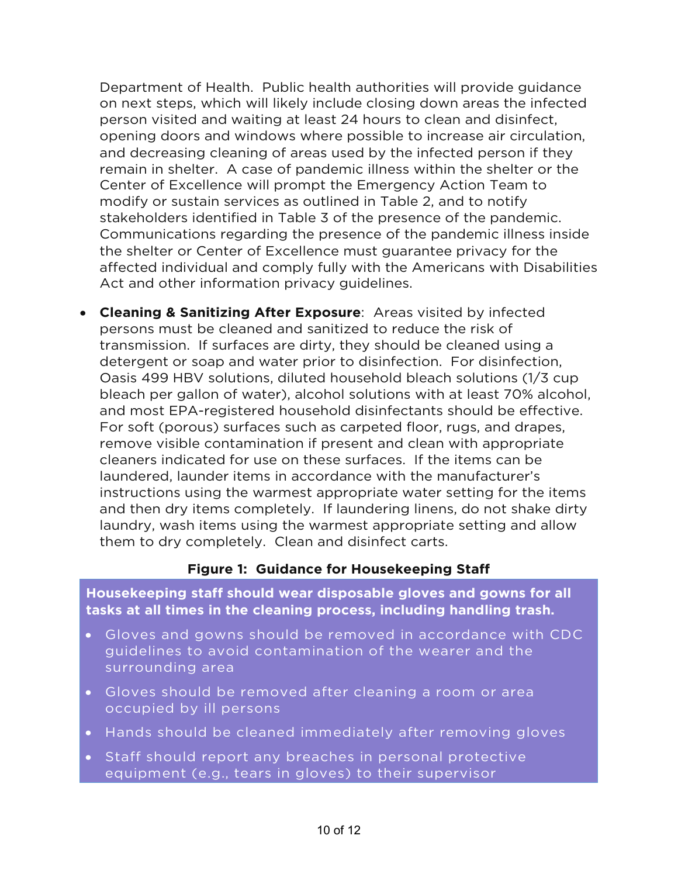Department of Health. Public health authorities will provide guidance on next steps, which will likely include closing down areas the infected person visited and waiting at least 24 hours to clean and disinfect, opening doors and windows where possible to increase air circulation, and decreasing cleaning of areas used by the infected person if they remain in shelter. A case of pandemic illness within the shelter or the Center of Excellence will prompt the Emergency Action Team to modify or sustain services as outlined in Table 2, and to notify stakeholders identified in Table 3 of the presence of the pandemic. Communications regarding the presence of the pandemic illness inside the shelter or Center of Excellence must guarantee privacy for the affected individual and comply fully with the Americans with Disabilities Act and other information privacy guidelines.

• **Cleaning & Sanitizing After Exposure**: Areas visited by infected persons must be cleaned and sanitized to reduce the risk of transmission. If surfaces are dirty, they should be cleaned using a detergent or soap and water prior to disinfection. For disinfection, Oasis 499 HBV solutions, diluted household bleach solutions (1/3 cup bleach per gallon of water), alcohol solutions with at least 70% alcohol, and most EPA-registered household disinfectants should be effective. For soft (porous) surfaces such as carpeted floor, rugs, and drapes, remove visible contamination if present and clean with appropriate cleaners indicated for use on these surfaces. If the items can be laundered, launder items in accordance with the manufacturer's instructions using the warmest appropriate water setting for the items and then dry items completely. If laundering linens, do not shake dirty laundry, wash items using the warmest appropriate setting and allow them to dry completely. Clean and disinfect carts.

#### **Figure 1: Guidance for Housekeeping Staff**

**Housekeeping staff should wear disposable gloves and gowns for all tasks at all times in the cleaning process, including handling trash.**

- Gloves and gowns should be removed in accordance with CDC guidelines to avoid contamination of the wearer and the surrounding area
- Gloves should be removed after cleaning a room or area occupied by ill persons
- Hands should be cleaned immediately after removing gloves
- Staff should report any breaches in personal protective equipment (e.g., tears in gloves) to their supervisor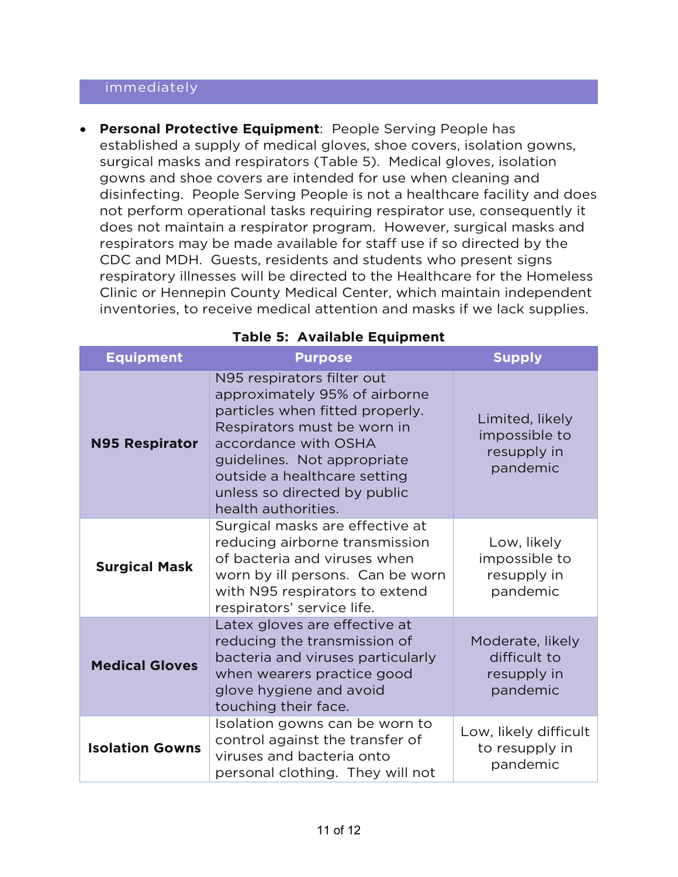#### immediately

• **Personal Protective Equipment**: People Serving People has established a supply of medical gloves, shoe covers, isolation gowns, surgical masks and respirators (Table 5). Medical gloves, isolation gowns and shoe covers are intended for use when cleaning and disinfecting. People Serving People is not a healthcare facility and does not perform operational tasks requiring respirator use, consequently it does not maintain a respirator program. However, surgical masks and respirators may be made available for staff use if so directed by the CDC and MDH. Guests, residents and students who present signs respiratory illnesses will be directed to the Healthcare for the Homeless Clinic or Hennepin County Medical Center, which maintain independent inventories, to receive medical attention and masks if we lack supplies.

| <b>Equipment</b>       | <b>Purpose</b>                                                                                                                                                                                                                                                              | <b>Supply</b>                                               |
|------------------------|-----------------------------------------------------------------------------------------------------------------------------------------------------------------------------------------------------------------------------------------------------------------------------|-------------------------------------------------------------|
| <b>N95 Respirator</b>  | N95 respirators filter out<br>approximately 95% of airborne<br>particles when fitted properly.<br>Respirators must be worn in<br>accordance with OSHA<br>guidelines. Not appropriate<br>outside a healthcare setting<br>unless so directed by public<br>health authorities. | Limited, likely<br>impossible to<br>resupply in<br>pandemic |
| <b>Surgical Mask</b>   | Surgical masks are effective at<br>reducing airborne transmission<br>of bacteria and viruses when<br>worn by ill persons. Can be worn<br>with N95 respirators to extend<br>respirators' service life.                                                                       | Low, likely<br>impossible to<br>resupply in<br>pandemic     |
| <b>Medical Gloves</b>  | Latex gloves are effective at<br>reducing the transmission of<br>bacteria and viruses particularly<br>when wearers practice good<br>glove hygiene and avoid<br>touching their face.                                                                                         | Moderate, likely<br>difficult to<br>resupply in<br>pandemic |
| <b>Isolation Gowns</b> | Isolation gowns can be worn to<br>control against the transfer of<br>viruses and bacteria onto<br>personal clothing. They will not                                                                                                                                          | Low, likely difficult<br>to resupply in<br>pandemic         |

#### **Table 5: Available Equipment**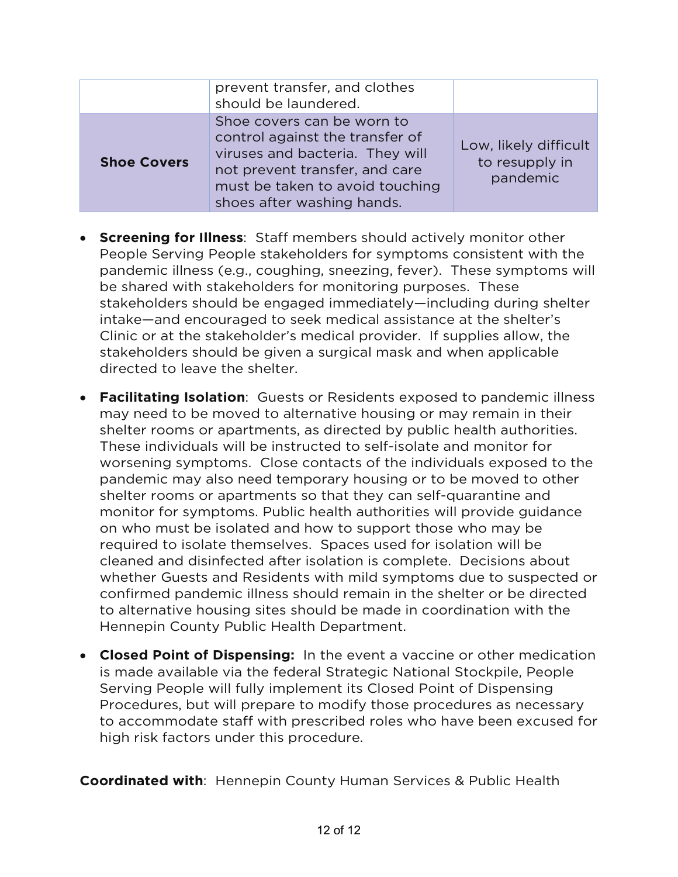|                    | prevent transfer, and clothes<br>should be laundered.                                                                                                                                               |                                                     |
|--------------------|-----------------------------------------------------------------------------------------------------------------------------------------------------------------------------------------------------|-----------------------------------------------------|
| <b>Shoe Covers</b> | Shoe covers can be worn to<br>control against the transfer of<br>viruses and bacteria. They will<br>not prevent transfer, and care<br>must be taken to avoid touching<br>shoes after washing hands. | Low, likely difficult<br>to resupply in<br>pandemic |

- **Screening for Illness**: Staff members should actively monitor other People Serving People stakeholders for symptoms consistent with the pandemic illness (e.g., coughing, sneezing, fever). These symptoms will be shared with stakeholders for monitoring purposes. These stakeholders should be engaged immediately—including during shelter intake—and encouraged to seek medical assistance at the shelter's Clinic or at the stakeholder's medical provider. If supplies allow, the stakeholders should be given a surgical mask and when applicable directed to leave the shelter.
- **Facilitating Isolation**: Guests or Residents exposed to pandemic illness may need to be moved to alternative housing or may remain in their shelter rooms or apartments, as directed by public health authorities. These individuals will be instructed to self-isolate and monitor for worsening symptoms. Close contacts of the individuals exposed to the pandemic may also need temporary housing or to be moved to other shelter rooms or apartments so that they can self-quarantine and monitor for symptoms. Public health authorities will provide guidance on who must be isolated and how to support those who may be required to isolate themselves. Spaces used for isolation will be cleaned and disinfected after isolation is complete. Decisions about whether Guests and Residents with mild symptoms due to suspected or confirmed pandemic illness should remain in the shelter or be directed to alternative housing sites should be made in coordination with the Hennepin County Public Health Department.
- **Closed Point of Dispensing:** In the event a vaccine or other medication is made available via the federal Strategic National Stockpile, People Serving People will fully implement its Closed Point of Dispensing Procedures, but will prepare to modify those procedures as necessary to accommodate staff with prescribed roles who have been excused for high risk factors under this procedure.

**Coordinated with**: Hennepin County Human Services & Public Health